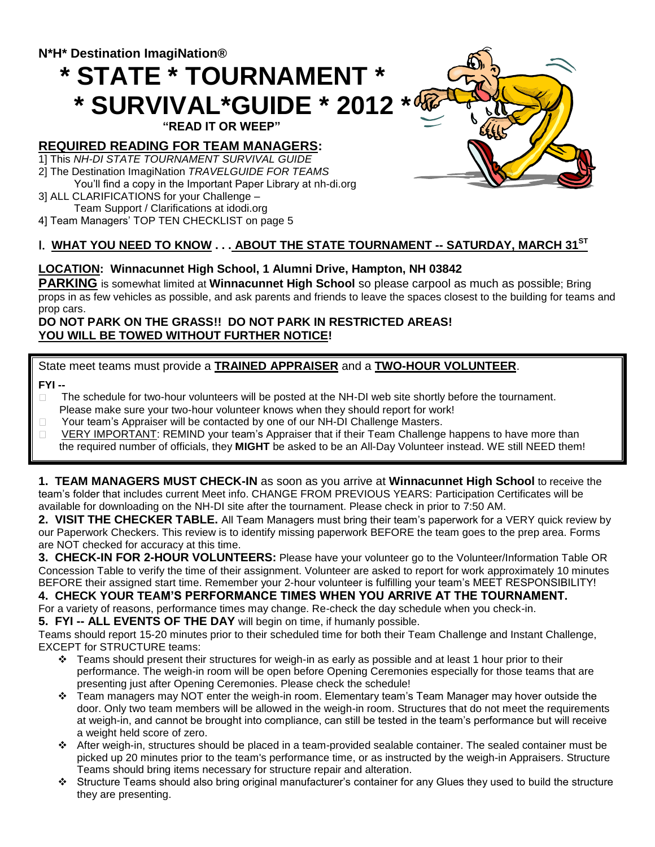# **\* STATE \* TOURNAMENT \* \* SURVIVAL\*GUIDE \* 2012 \***

 **"READ IT OR WEEP"**

# **REQUIRED READING FOR TEAM MANAGERS:**

1] This *NH-DI STATE TOURNAMENT SURVIVAL GUIDE*

2] The Destination ImagiNation *TRAVELGUIDE FOR TEAMS* You'll find a copy in the Important Paper Library at [nh-di.org](http://www.nh-di.org/)

3] ALL CLARIFICATIONS for your Challenge –

 Team Support / Clarifications at idodi.org 4] Team Managers' TOP TEN CHECKLIST on page 5

# I. **WHAT YOU NEED TO KNOW . . . ABOUT THE STATE TOURNAMENT -- SATURDAY, MARCH 31ST**

# **LOCATION: Winnacunnet High School, 1 Alumni Drive, Hampton, NH 03842**

**PARKING** is somewhat limited at **Winnacunnet High School** so please carpool as much as possible; Bring props in as few vehicles as possible, and ask parents and friends to leave the spaces closest to the building for teams and prop cars.

#### **DO NOT PARK ON THE GRASS!! DO NOT PARK IN RESTRICTED AREAS! YOU WILL BE TOWED WITHOUT FURTHER NOTICE!**

State meet teams must provide a **TRAINED APPRAISER** and a **TWO-HOUR VOLUNTEER**.

**FYI --**

- $\Box$  The schedule for two-hour volunteers will be posted at the NH-DI web site shortly before the tournament. Please make sure your two-hour volunteer knows when they should report for work!
- $\Box$ Your team's Appraiser will be contacted by one of our NH-DI Challenge Masters.
- $\Box$  VERY IMPORTANT: REMIND your team's Appraiser that if their Team Challenge happens to have more than the required number of officials, they **MIGHT** be asked to be an All-Day Volunteer instead. WE still NEED them!

**1. TEAM MANAGERS MUST CHECK-IN** as soon as you arrive at **Winnacunnet High School** to receive the team's folder that includes current Meet info. CHANGE FROM PREVIOUS YEARS: Participation Certificates will be available for downloading on the NH-DI site after the tournament. Please check in prior to 7:50 AM.

**2. VISIT THE CHECKER TABLE.** All Team Managers must bring their team's paperwork for a VERY quick review by our Paperwork Checkers. This review is to identify missing paperwork BEFORE the team goes to the prep area. Forms are NOT checked for accuracy at this time.

**3. CHECK-IN FOR 2-HOUR VOLUNTEERS:** Please have your volunteer go to the Volunteer/Information Table OR Concession Table to verify the time of their assignment. Volunteer are asked to report for work approximately 10 minutes BEFORE their assigned start time. Remember your 2-hour volunteer is fulfilling your team's MEET RESPONSIBILITY!

#### **4. CHECK YOUR TEAM'S PERFORMANCE TIMES WHEN YOU ARRIVE AT THE TOURNAMENT.**

For a variety of reasons, performance times may change. Re-check the day schedule when you check-in.

**5. FYI -- ALL EVENTS OF THE DAY** will begin on time, if humanly possible.

Teams should report 15-20 minutes prior to their scheduled time for both their Team Challenge and Instant Challenge, EXCEPT for STRUCTURE teams:

- $\div$  Teams should present their structures for weigh-in as early as possible and at least 1 hour prior to their performance. The weigh-in room will be open before Opening Ceremonies especially for those teams that are presenting just after Opening Ceremonies. Please check the schedule!
- $\div$  Team managers may NOT enter the weigh-in room. Elementary team's Team Manager may hover outside the door. Only two team members will be allowed in the weigh-in room. Structures that do not meet the requirements at weigh-in, and cannot be brought into compliance, can still be tested in the team's performance but will receive a weight held score of zero.
- After weigh-in, structures should be placed in a team-provided sealable container. The sealed container must be picked up 20 minutes prior to the team's performance time, or as instructed by the weigh-in Appraisers. Structure Teams should bring items necessary for structure repair and alteration.
- Structure Teams should also bring original manufacturer's container for any Glues they used to build the structure they are presenting.

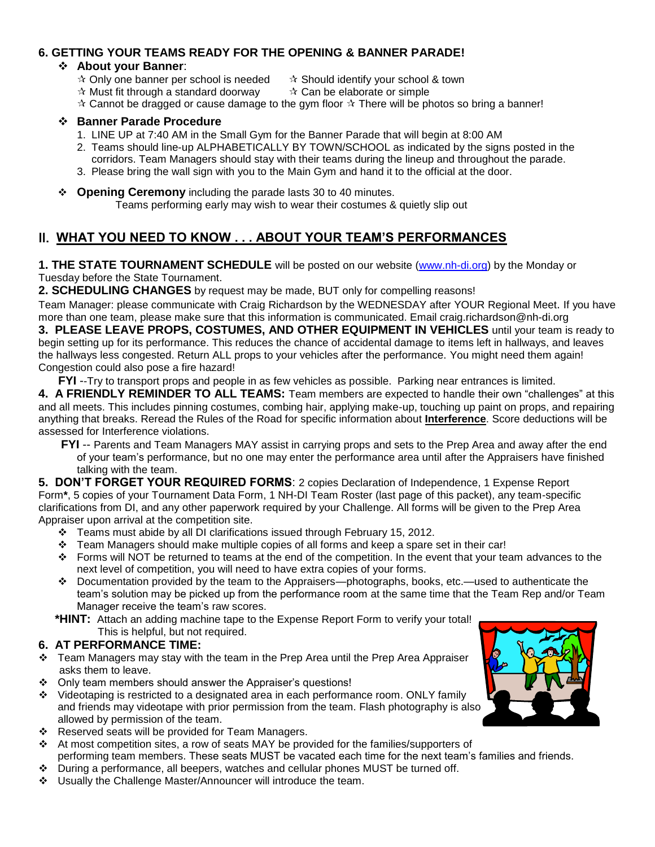#### **6. GETTING YOUR TEAMS READY FOR THE OPENING & BANNER PARADE!**

#### **About your Banner**:

- $\star$  Only one banner per school is needed  $\star$  Should identify your school & town
- $\star$  Must fit through a standard doorway  $\star$  Can be elaborate or simple
- 
- $\star$  Cannot be dragged or cause damage to the gym floor  $\star$  There will be photos so bring a banner!

#### **❖ Banner Parade Procedure**

- 1. LINE UP at 7:40 AM in the Small Gym for the Banner Parade that will begin at 8:00 AM
- 2. Teams should line-up ALPHABETICALLY BY TOWN/SCHOOL as indicated by the signs posted in the corridors. Team Managers should stay with their teams during the lineup and throughout the parade.
- 3. Please bring the wall sign with you to the Main Gym and hand it to the official at the door.
- **Opening Ceremony** including the parade lasts 30 to 40 minutes. Teams performing early may wish to wear their costumes & quietly slip out

# II. **WHAT YOU NEED TO KNOW . . . ABOUT YOUR TEAM'S PERFORMANCES**

**1. THE STATE TOURNAMENT SCHEDULE** will be posted on our website [\(www.nh-di.org\)](http://www.nh-di.org/) by the Monday or Tuesday before the State Tournament.

**2. SCHEDULING CHANGES** by request may be made, BUT only for compelling reasons!

Team Manager: please communicate with Craig Richardson by the WEDNESDAY after YOUR Regional Meet. If you have more than one team, please make sure that this information is communicated. Email craig.richardson@nh-di.org

**3. PLEASE LEAVE PROPS, COSTUMES, AND OTHER EQUIPMENT IN VEHICLES** until your team is ready to begin setting up for its performance. This reduces the chance of accidental damage to items left in hallways, and leaves the hallways less congested. Return ALL props to your vehicles after the performance. You might need them again! Congestion could also pose a fire hazard!

 **FYI** --Try to transport props and people in as few vehicles as possible. Parking near entrances is limited.

4. A FRIENDLY REMINDER TO ALL TEAMS: Team members are expected to handle their own "challenges" at this and all meets. This includes pinning costumes, combing hair, applying make-up, touching up paint on props, and repairing anything that breaks. Reread the Rules of the Road for specific information about **Interference**. Score deductions will be assessed for Interference violations.

**FYI** -- Parents and Team Managers MAY assist in carrying props and sets to the Prep Area and away after the end of your team's performance, but no one may enter the performance area until after the Appraisers have finished talking with the team.

**5. DON'T FORGET YOUR REQUIRED FORMS**: 2 copies Declaration of Independence, 1 Expense Report Form**\***, 5 copies of your Tournament Data Form, 1 NH-DI Team Roster (last page of this packet), any team-specific clarifications from DI, and any other paperwork required by your Challenge. All forms will be given to the Prep Area Appraiser upon arrival at the competition site.

- Teams must abide by all DI clarifications issued through February 15, 2012.
- $\cdot \cdot$  Team Managers should make multiple copies of all forms and keep a spare set in their car!
- Forms will NOT be returned to teams at the end of the competition. In the event that your team advances to the next level of competition, you will need to have extra copies of your forms.
- Documentation provided by the team to the Appraisers—photographs, books, etc.—used to authenticate the team's solution may be picked up from the performance room at the same time that the Team Rep and/or Team Manager receive the team's raw scores.

 **\*HINT:** Attach an adding machine tape to the Expense Report Form to verify your total! This is helpful, but not required.

#### **6. AT PERFORMANCE TIME:**

- Team Managers may stay with the team in the Prep Area until the Prep Area Appraiser asks them to leave.
- ❖ Only team members should answer the Appraiser's questions!
- Videotaping is restricted to a designated area in each performance room. ONLY family and friends may videotape with prior permission from the team. Flash photography is also allowed by permission of the team.
- Reserved seats will be provided for Team Managers.
- $\div$  At most competition sites, a row of seats MAY be provided for the families/supporters of performing team members. These seats MUST be vacated each time for the next team's families and friends.
- $\div$  During a performance, all beepers, watches and cellular phones MUST be turned off.
- Usually the Challenge Master/Announcer will introduce the team.

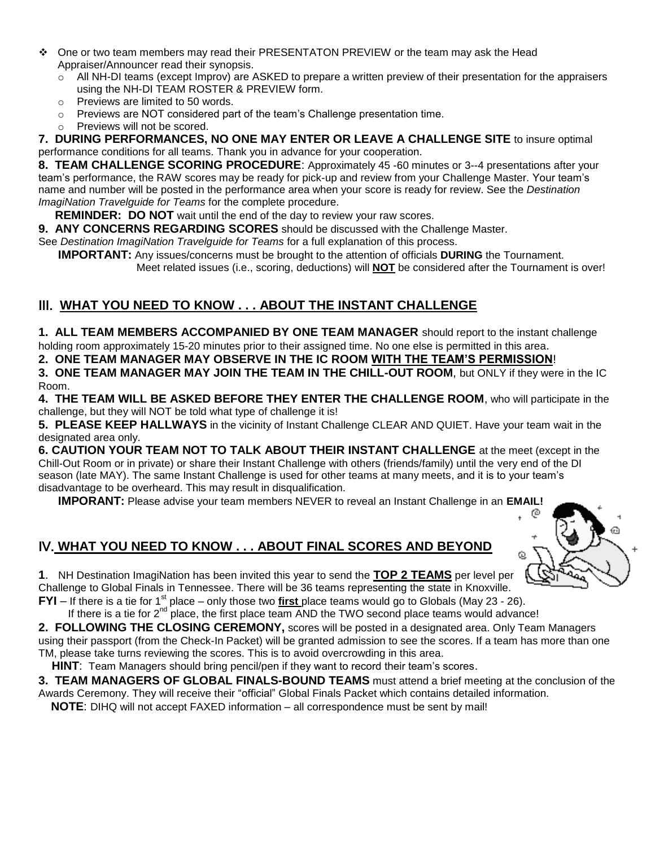- One or two team members may read their PRESENTATON PREVIEW or the team may ask the Head Appraiser/Announcer read their synopsis.
	- All NH-DI teams (except Improv) are ASKED to prepare a written preview of their presentation for the appraisers using the NH-DI TEAM ROSTER & PREVIEW form.
	- o Previews are limited to 50 words.
	- $\circ$  Previews are NOT considered part of the team's Challenge presentation time.
	- o Previews will not be scored.

**7. DURING PERFORMANCES, NO ONE MAY ENTER OR LEAVE A CHALLENGE SITE** to insure optimal performance conditions for all teams. Thank you in advance for your cooperation.

**8. TEAM CHALLENGE SCORING PROCEDURE**: Approximately 45 -60 minutes or 3--4 presentations after your team's performance, the RAW scores may be ready for pick-up and review from your Challenge Master. Your team's name and number will be posted in the performance area when your score is ready for review. See the *Destination ImagiNation Travelguide for Teams* for the complete procedure.

**REMINDER: DO NOT** wait until the end of the day to review your raw scores.

**9. ANY CONCERNS REGARDING SCORES** should be discussed with the Challenge Master.

See *Destination ImagiNation Travelguide for Teams* for a full explanation of this process.

 **IMPORTANT:** Any issues/concerns must be brought to the attention of officials **DURING** the Tournament. Meet related issues (i.e., scoring, deductions) will **NOT** be considered after the Tournament is over!

# III. **WHAT YOU NEED TO KNOW . . . ABOUT THE INSTANT CHALLENGE**

**1. ALL TEAM MEMBERS ACCOMPANIED BY ONE TEAM MANAGER** should report to the instant challenge holding room approximately 15-20 minutes prior to their assigned time. No one else is permitted in this area.

**2. ONE TEAM MANAGER MAY OBSERVE IN THE IC ROOM WITH THE TEAM'S PERMISSION**!

**3. ONE TEAM MANAGER MAY JOIN THE TEAM IN THE CHILL-OUT ROOM**, but ONLY if they were in the IC Room.

**4. THE TEAM WILL BE ASKED BEFORE THEY ENTER THE CHALLENGE ROOM**, who will participate in the challenge, but they will NOT be told what type of challenge it is!

**5. PLEASE KEEP HALLWAYS** in the vicinity of Instant Challenge CLEAR AND QUIET. Have your team wait in the designated area only.

**6. CAUTION YOUR TEAM NOT TO TALK ABOUT THEIR INSTANT CHALLENGE** at the meet (except in the Chill-Out Room or in private) or share their Instant Challenge with others (friends/family) until the very end of the DI season (late MAY). The same Instant Challenge is used for other teams at many meets, and it is to your team's disadvantage to be overheard. This may result in disqualification.

 **IMPORANT:** Please advise your team members NEVER to reveal an Instant Challenge in an **EMAIL!**

# IV. **WHAT YOU NEED TO KNOW . . . ABOUT FINAL SCORES AND BEYOND**



**1**. NH Destination ImagiNation has been invited this year to send the **TOP 2 TEAMS** per level per Challenge to Global Finals in Tennessee. There will be 36 teams representing the state in Knoxville.

**FYI** – If there is a tie for 1<sup>st</sup> place – only those two first place teams would go to Globals (May 23 - 26).

If there is a tie for  $2^{nd}$  place, the first place team AND the TWO second place teams would advance!

**2. FOLLOWING THE CLOSING CEREMONY,** scores will be posted in a designated area. Only Team Managers using their passport (from the Check-In Packet) will be granted admission to see the scores. If a team has more than one TM, please take turns reviewing the scores. This is to avoid overcrowding in this area.

 **HINT**: Team Managers should bring pencil/pen if they want to record their team's scores.

**3. TEAM MANAGERS OF GLOBAL FINALS-BOUND TEAMS** must attend a brief meeting at the conclusion of the Awards Ceremony. They will receive their "official" Global Finals Packet which contains detailed information.

**NOTE:** DIHQ will not accept FAXED information – all correspondence must be sent by mail!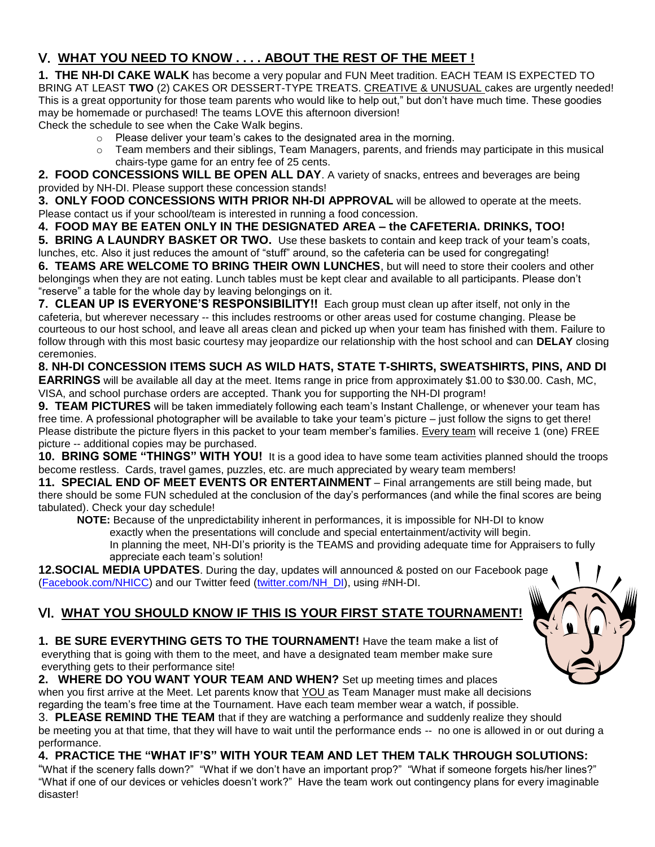# V. **WHAT YOU NEED TO KNOW . . . . ABOUT THE REST OF THE MEET !**

**1. THE NH-DI CAKE WALK** has become a very popular and FUN Meet tradition. EACH TEAM IS EXPECTED TO BRING AT LEAST **TWO** (2) CAKES OR DESSERT-TYPE TREATS. CREATIVE & UNUSUAL cakes are urgently needed! This is a great opportunity for those team parents who would like to help out," but don't have much time. These goodies may be homemade or purchased! The teams LOVE this afternoon diversion!

Check the schedule to see when the Cake Walk begins.

- o Please deliver your team's cakes to the designated area in the morning.
- $\circ$  Team members and their siblings, Team Managers, parents, and friends may participate in this musical chairs-type game for an entry fee of 25 cents.

**2. FOOD CONCESSIONS WILL BE OPEN ALL DAY**. A variety of snacks, entrees and beverages are being provided by NH-DI. Please support these concession stands!

**3. ONLY FOOD CONCESSIONS WITH PRIOR NH-DI APPROVAL** will be allowed to operate at the meets. Please contact us if your school/team is interested in running a food concession.

**4. FOOD MAY BE EATEN ONLY IN THE DESIGNATED AREA – the CAFETERIA. DRINKS, TOO!**

**5. BRING A LAUNDRY BASKET OR TWO.** Use these baskets to contain and keep track of your team's coats, lunches, etc. Also it just reduces the amount of "stuff" around, so the cafeteria can be used for congregating!

**6. TEAMS ARE WELCOME TO BRING THEIR OWN LUNCHES**, but will need to store their coolers and other belongings when they are not eating. Lunch tables must be kept clear and available to all participants. Please don't "reserve" a table for the whole day by leaving belongings on it.

**7. CLEAN UP IS EVERYONE'S RESPONSIBILITY!!** Each group must clean up after itself, not only in the cafeteria, but wherever necessary -- this includes restrooms or other areas used for costume changing. Please be courteous to our host school, and leave all areas clean and picked up when your team has finished with them. Failure to follow through with this most basic courtesy may jeopardize our relationship with the host school and can **DELAY** closing ceremonies.

# **8. NH-DI CONCESSION ITEMS SUCH AS WILD HATS, STATE T-SHIRTS, SWEATSHIRTS, PINS, AND DI**

**EARRINGS** will be available all day at the meet. Items range in price from approximately \$1.00 to \$30.00. Cash, MC, VISA, and school purchase orders are accepted. Thank you for supporting the NH-DI program!

**9. TEAM PICTURES** will be taken immediately following each team's Instant Challenge, or whenever your team has free time. A professional photographer will be available to take your team's picture – just follow the signs to get there! Please distribute the picture flyers in this packet to your team member's families. Every team will receive 1 (one) FREE picture -- additional copies may be purchased.

**10. BRING SOME "THINGS" WITH YOU!** It is a good idea to have some team activities planned should the troops become restless. Cards, travel games, puzzles, etc. are much appreciated by weary team members!

**11. SPECIAL END OF MEET EVENTS OR ENTERTAINMENT** – Final arrangements are still being made, but there should be some FUN scheduled at the conclusion of the day's performances (and while the final scores are being tabulated). Check your day schedule!

 **NOTE:** Because of the unpredictability inherent in performances, it is impossible for NH-DI to know exactly when the presentations will conclude and special entertainment/activity will begin. In planning the meet, NH-DI's priority is the TEAMS and providing adequate time for Appraisers to fully appreciate each team's solution!

**12.SOCIAL MEDIA UPDATES**. During the day, updates will announced & posted on our Facebook page [\(Facebook.com/NHICC\)](http://facebook.com/NHICC) and our Twitter feed [\(twitter.com/NH\\_DI\)](http://twitter.com/NH_DI), using #NH-DI.

# VI. **WHAT YOU SHOULD KNOW IF THIS IS YOUR FIRST STATE TOURNAMENT!**

**1. BE SURE EVERYTHING GETS TO THE TOURNAMENT!** Have the team make a list of everything that is going with them to the meet, and have a designated team member make sure everything gets to their performance site!

**2. WHERE DO YOU WANT YOUR TEAM AND WHEN?** Set up meeting times and places when you first arrive at the Meet. Let parents know that YOU as Team Manager must make all decisions regarding the team's free time at the Tournament. Have each team member wear a watch, if possible.

3. **PLEASE REMIND THE TEAM** that if they are watching a performance and suddenly realize they should be meeting you at that time, that they will have to wait until the performance ends -- no one is allowed in or out during a performance.

**4. PRACTICE THE "WHAT IF'S" WITH YOUR TEAM AND LET THEM TALK THROUGH SOLUTIONS:**

"What if the scenery falls down?" "What if we don't have an important prop?" "What if someone forgets his/her lines?" ―What if one of our devices or vehicles doesn't work?‖ Have the team work out contingency plans for every imaginable disaster!